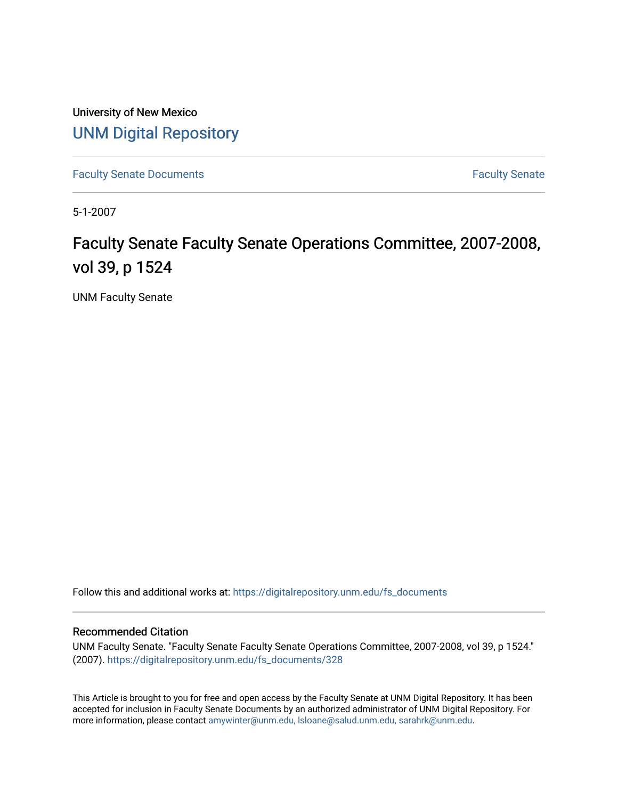University of New Mexico [UNM Digital Repository](https://digitalrepository.unm.edu/) 

[Faculty Senate Documents](https://digitalrepository.unm.edu/fs_documents) **Faculty** Senate **Faculty** Senate

5-1-2007

## Faculty Senate Faculty Senate Operations Committee, 2007-2008, vol 39, p 1524

UNM Faculty Senate

Follow this and additional works at: [https://digitalrepository.unm.edu/fs\\_documents](https://digitalrepository.unm.edu/fs_documents?utm_source=digitalrepository.unm.edu%2Ffs_documents%2F328&utm_medium=PDF&utm_campaign=PDFCoverPages)

## Recommended Citation

UNM Faculty Senate. "Faculty Senate Faculty Senate Operations Committee, 2007-2008, vol 39, p 1524." (2007). [https://digitalrepository.unm.edu/fs\\_documents/328](https://digitalrepository.unm.edu/fs_documents/328?utm_source=digitalrepository.unm.edu%2Ffs_documents%2F328&utm_medium=PDF&utm_campaign=PDFCoverPages) 

This Article is brought to you for free and open access by the Faculty Senate at UNM Digital Repository. It has been accepted for inclusion in Faculty Senate Documents by an authorized administrator of UNM Digital Repository. For more information, please contact [amywinter@unm.edu, lsloane@salud.unm.edu, sarahrk@unm.edu](mailto:amywinter@unm.edu,%20lsloane@salud.unm.edu,%20sarahrk@unm.edu).